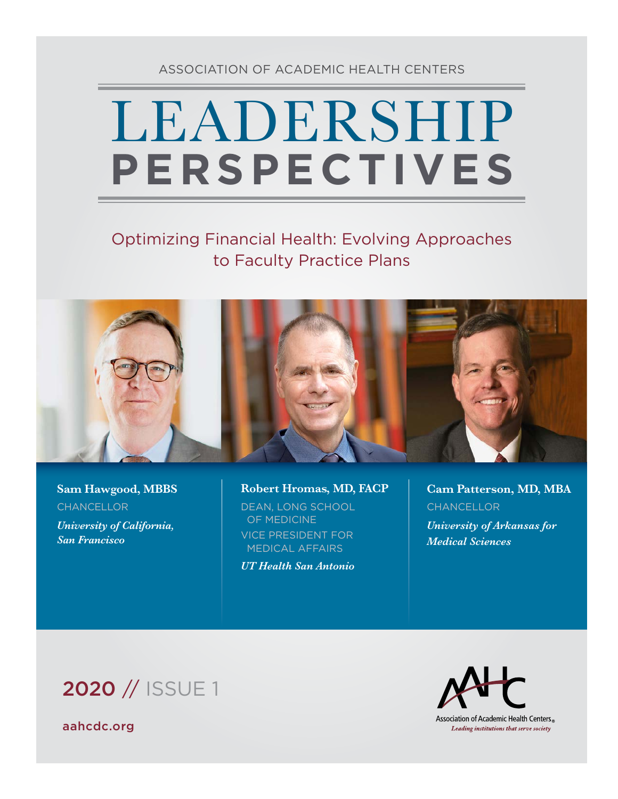### ASSOCIATION OF ACADEMIC HEALTH CENTERS

# LEADERSHIP **PERSPECTIVES**

## Optimizing Financial Health: Evolving Approaches to Faculty Practice Plans



**Sam Hawgood, MBBS CHANCELLOR** *University of California, San Francisco*

**Robert Hromas, MD, FACP**  DEAN, LONG SCHOOL OF MEDICINE VICE PRESIDENT FOR MEDICAL AFFAIRS

*UT Health San Antonio*

**Cam Patterson, MD, MBA CHANCELLOR** *University of Arkansas for Medical Sciences*

# 2020 // ISSUE 1

[aahcdc.org](http://www.aahcdc.org)



Association of Academic Health Centers<sup>®</sup> Leading institutions that serve society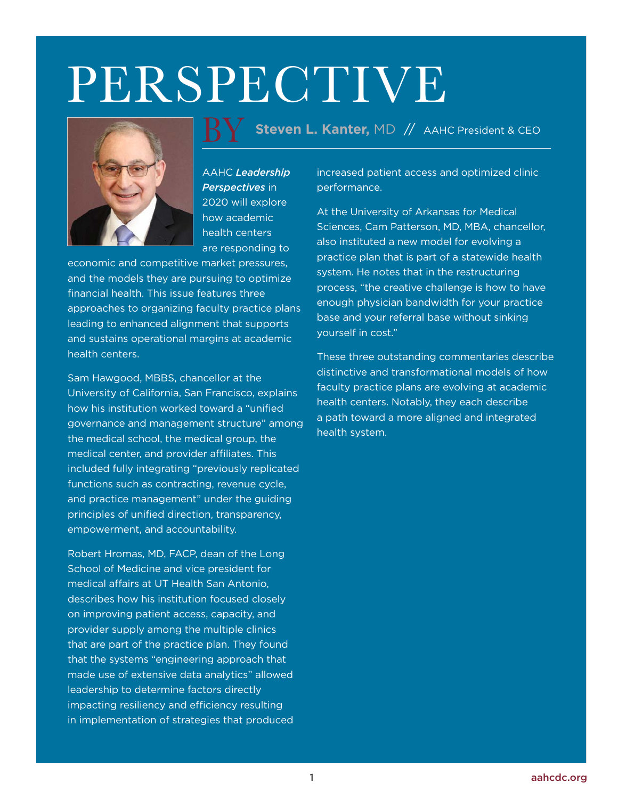# PERSPECTIVE



AAHC *Leadership Perspectives* in 2020 will explore how academic health centers are responding to

economic and competitive market pressures, and the models they are pursuing to optimize financial health. This issue features three approaches to organizing faculty practice plans leading to enhanced alignment that supports and sustains operational margins at academic health centers.

Sam Hawgood, MBBS, chancellor at the University of California, San Francisco, explains how his institution worked toward a "unified governance and management structure" among the medical school, the medical group, the medical center, and provider affiliates. This included fully integrating "previously replicated functions such as contracting, revenue cycle, and practice management" under the guiding principles of unified direction, transparency, empowerment, and accountability.

Robert Hromas, MD, FACP, dean of the Long School of Medicine and vice president for medical affairs at UT Health San Antonio, describes how his institution focused closely on improving patient access, capacity, and provider supply among the multiple clinics that are part of the practice plan. They found that the systems "engineering approach that made use of extensive data analytics" allowed leadership to determine factors directly impacting resiliency and efficiency resulting in implementation of strategies that produced

**Steven L. Kanter,** MD // AAHC President & CEO <u>BY</u>

> increased patient access and optimized clinic performance.

At the University of Arkansas for Medical Sciences, Cam Patterson, MD, MBA, chancellor, also instituted a new model for evolving a practice plan that is part of a statewide health system. He notes that in the restructuring process, "the creative challenge is how to have enough physician bandwidth for your practice base and your referral base without sinking yourself in cost."

These three outstanding commentaries describe distinctive and transformational models of how faculty practice plans are evolving at academic health centers. Notably, they each describe a path toward a more aligned and integrated health system.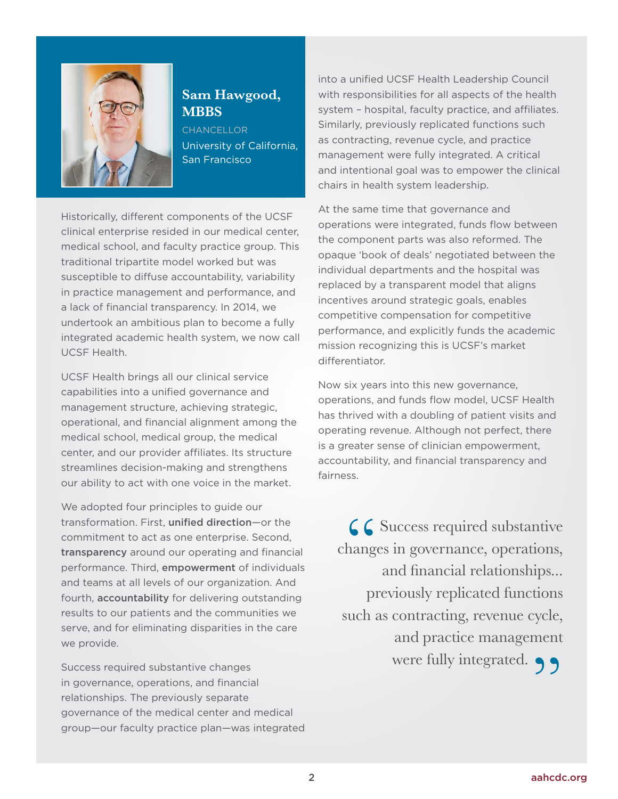

### **Sam Hawgood, MBBS**

**CHANCELLOR** University of California, San Francisco

Historically, different components of the UCSF clinical enterprise resided in our medical center, medical school, and faculty practice group. This traditional tripartite model worked but was susceptible to diffuse accountability, variability in practice management and performance, and a lack of financial transparency. In 2014, we undertook an ambitious plan to become a fully integrated academic health system, we now call UCSF Health.

UCSF Health brings all our clinical service capabilities into a unified governance and management structure, achieving strategic, operational, and financial alignment among the medical school, medical group, the medical center, and our provider affiliates. Its structure streamlines decision-making and strengthens our ability to act with one voice in the market.

We adopted four principles to guide our transformation. First, unified direction—or the commitment to act as one enterprise. Second, transparency around our operating and financial performance. Third, empowerment of individuals and teams at all levels of our organization. And fourth, accountability for delivering outstanding results to our patients and the communities we serve, and for eliminating disparities in the care we provide.

Success required substantive changes in governance, operations, and financial relationships. The previously separate governance of the medical center and medical group—our faculty practice plan—was integrated into a unified UCSF Health Leadership Council with responsibilities for all aspects of the health system – hospital, faculty practice, and affiliates. Similarly, previously replicated functions such as contracting, revenue cycle, and practice management were fully integrated. A critical and intentional goal was to empower the clinical chairs in health system leadership.

At the same time that governance and operations were integrated, funds flow between the component parts was also reformed. The opaque 'book of deals' negotiated between the individual departments and the hospital was replaced by a transparent model that aligns incentives around strategic goals, enables competitive compensation for competitive performance, and explicitly funds the academic mission recognizing this is UCSF's market differentiator.

Now six years into this new governance, operations, and funds flow model, UCSF Health has thrived with a doubling of patient visits and operating revenue. Although not perfect, there is a greater sense of clinician empowerment, accountability, and financial transparency and fairness.

 $C$  Success required substantive changes in governance, operations, and financial relationships... previously replicated functions such as contracting, revenue cycle, and practice management were fully integrated.  $\bigcirc$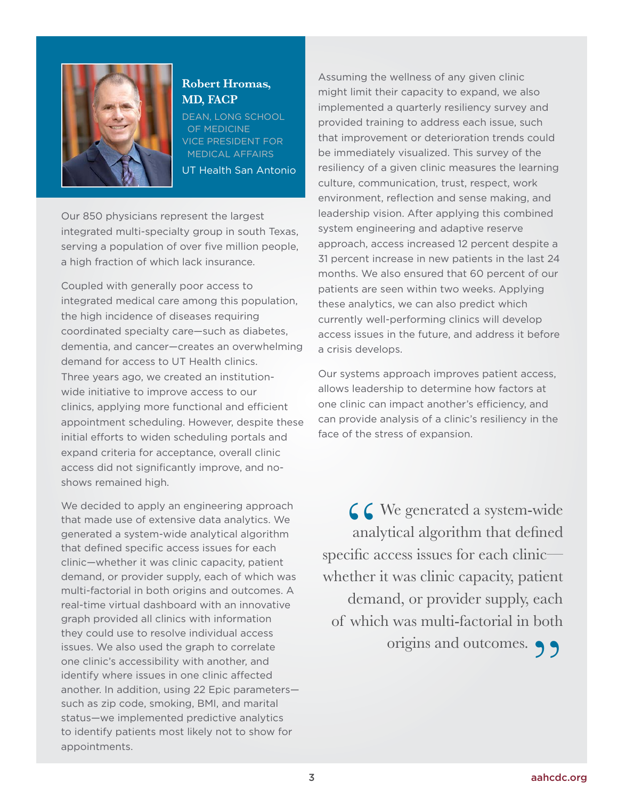

#### **Robert Hromas, MD, FACP**

DEAN, LONG SCHOOL OF MEDICINE VICE PRESIDENT FOR MEDICAL AFFAIRS

UT Health San Antonio

Our 850 physicians represent the largest integrated multi-specialty group in south Texas, serving a population of over five million people, a high fraction of which lack insurance.

Coupled with generally poor access to integrated medical care among this population, the high incidence of diseases requiring coordinated specialty care—such as diabetes, dementia, and cancer—creates an overwhelming demand for access to UT Health clinics. Three years ago, we created an institutionwide initiative to improve access to our clinics, applying more functional and efficient appointment scheduling. However, despite these initial efforts to widen scheduling portals and expand criteria for acceptance, overall clinic access did not significantly improve, and noshows remained high.

We decided to apply an engineering approach that made use of extensive data analytics. We generated a system-wide analytical algorithm that defined specific access issues for each clinic—whether it was clinic capacity, patient demand, or provider supply, each of which was multi-factorial in both origins and outcomes. A real-time virtual dashboard with an innovative graph provided all clinics with information they could use to resolve individual access issues. We also used the graph to correlate one clinic's accessibility with another, and identify where issues in one clinic affected another. In addition, using 22 Epic parameters such as zip code, smoking, BMI, and marital status—we implemented predictive analytics to identify patients most likely not to show for appointments.

Assuming the wellness of any given clinic might limit their capacity to expand, we also implemented a quarterly resiliency survey and provided training to address each issue, such that improvement or deterioration trends could be immediately visualized. This survey of the resiliency of a given clinic measures the learning culture, communication, trust, respect, work environment, reflection and sense making, and leadership vision. After applying this combined system engineering and adaptive reserve approach, access increased 12 percent despite a 31 percent increase in new patients in the last 24 months. We also ensured that 60 percent of our patients are seen within two weeks. Applying these analytics, we can also predict which currently well-performing clinics will develop access issues in the future, and address it before a crisis develops.

Our systems approach improves patient access, allows leadership to determine how factors at one clinic can impact another's efficiency, and can provide analysis of a clinic's resiliency in the face of the stress of expansion.

C C We generated a system-wide<br>analytical algorithm that defined<br>specific access issues for each clinic—  $\bigcup$  We generated a system-wide analytical algorithm that defined whether it was clinic capacity, patient demand, or provider supply, each of which was multi-factorial in both origins and outcomes.